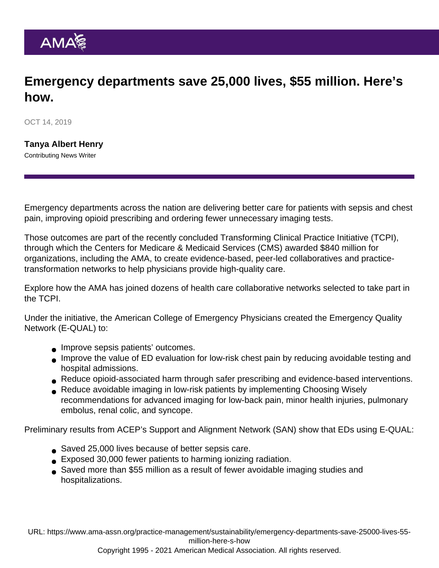## Emergency departments save 25,000 lives, \$55 million. Here's how.

OCT 14, 2019

[Tanya Albert Henry](https://www.ama-assn.org/news-leadership-viewpoints/authors-news-leadership-viewpoints/tanya-albert-henry) Contributing News Writer

Emergency departments across the nation are delivering better care for patients with sepsis and chest pain, improving opioid prescribing and ordering fewer unnecessary imaging tests.

Those outcomes are part of the recently concluded Transforming Clinical Practice Initiative (TCPI), through which the Centers for Medicare & Medicaid Services (CMS) awarded \$840 million for organizations, including the AMA, to create evidence-based, peer-led collaboratives and practicetransformation networks to help physicians provide high-quality care.

Explore how the AMA has joined dozens of health care collaborative networks selected to [take part in](https://www.ama-assn.org/practice-management/sustainability/transforming-clinical-practice-initiative) [the TCPI](https://www.ama-assn.org/practice-management/sustainability/transforming-clinical-practice-initiative).

Under the initiative, the American College of Emergency Physicians created the Emergency Quality Network (E-QUAL) to:

- **Improve sepsis patients' outcomes.**
- Improve the value of ED evaluation for low-risk chest pain by reducing avoidable testing and hospital admissions.
- Reduce opioid-associated harm through safer prescribing and evidence-based interventions.
- Reduce avoidable imaging in low-risk patients by implementing Choosing Wisely recommendations for advanced imaging for low-back pain, minor health injuries, pulmonary embolus, renal colic, and syncope.

Preliminary results from ACEP's Support and Alignment Network (SAN) show that EDs using [E-QUAL](https://www.acep.org/administration/quality/equal/emergency-quality-network-e-qual/):

- Saved 25,000 lives because of better sepsis care.
- Exposed 30,000 fewer patients to harming ionizing radiation.
- Saved more than \$55 million as a result of fewer avoidable imaging studies and hospitalizations.

URL: [https://www.ama-assn.org/practice-management/sustainability/emergency-departments-save-25000-lives-55](https://www.ama-assn.org/practice-management/sustainability/emergency-departments-save-25000-lives-55-million-here-s-how) [million-here-s-how](https://www.ama-assn.org/practice-management/sustainability/emergency-departments-save-25000-lives-55-million-here-s-how)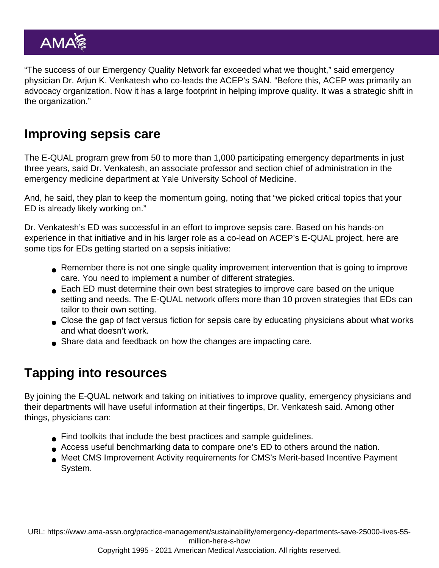"The success of our Emergency Quality Network far exceeded what we thought," said emergency physician Dr. Arjun K. Venkatesh who co-leads the ACEP's SAN. "Before this, ACEP was primarily an advocacy organization. Now it has a large footprint in helping improve quality. It was a strategic shift in the organization."

## Improving sepsis care

The E-QUAL program grew from 50 to more than 1,000 participating emergency departments in just three years, said Dr. Venkatesh, an associate professor and section chief of administration in the emergency medicine department at Yale University School of Medicine.

And, he said, they plan to keep the momentum going, noting that "we picked critical topics that your ED is already likely working on."

Dr. Venkatesh's ED was successful in an effort to improve sepsis care. Based on his hands-on experience in that initiative and in his larger role as a co-lead on ACEP's E-QUAL project, here are some tips for EDs getting started on a sepsis initiative:

- Remember there is not one single quality improvement intervention that is going to improve care. You need to implement a number of different strategies.
- Each ED must determine their own best strategies to improve care based on the unique setting and needs. The E-QUAL network offers more than 10 proven strategies that EDs can tailor to their own setting.
- Close the gap of fact versus fiction for sepsis care by educating physicians about what works and what doesn't work.
- Share data and feedback on how the changes are impacting care.

## Tapping into resources

By joining the E-QUAL network and taking on initiatives to improve quality, emergency physicians and their departments will have useful information at their fingertips, Dr. Venkatesh said. Among other things, physicians can:

- Find toolkits that include the best practices and sample guidelines.
- Access useful benchmarking data to compare one's ED to others around the nation.
- Meet CMS Improvement Activity requirements for CMS's Merit-based Incentive Payment System.

URL: [https://www.ama-assn.org/practice-management/sustainability/emergency-departments-save-25000-lives-55](https://www.ama-assn.org/practice-management/sustainability/emergency-departments-save-25000-lives-55-million-here-s-how) [million-here-s-how](https://www.ama-assn.org/practice-management/sustainability/emergency-departments-save-25000-lives-55-million-here-s-how)